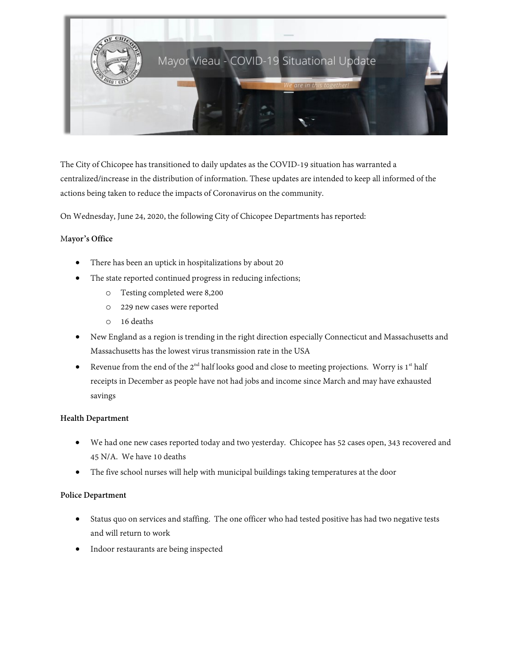

The City of Chicopee has transitioned to daily updates as the COVID-19 situation has warranted a centralized/increase in the distribution of information. These updates are intended to keep all informed of the actions being taken to reduce the impacts of Coronavirus on the community.

On Wednesday, June 24, 2020, the following City of Chicopee Departments has reported:

## M**ayor's Office**

- There has been an uptick in hospitalizations by about 20
- The state reported continued progress in reducing infections;
	- o Testing completed were 8,200
	- o 229 new cases were reported
	- o 16 deaths
- New England as a region is trending in the right direction especially Connecticut and Massachusetts and Massachusetts has the lowest virus transmission rate in the USA
- Revenue from the end of the  $2<sup>nd</sup>$  half looks good and close to meeting projections. Worry is  $1<sup>st</sup>$  half receipts in December as people have not had jobs and income since March and may have exhausted savings

### **Health Department**

- We had one new cases reported today and two yesterday. Chicopee has 52 cases open, 343 recovered and 45 N/A. We have 10 deaths
- The five school nurses will help with municipal buildings taking temperatures at the door

### **Police Department**

- Status quo on services and staffing. The one officer who had tested positive has had two negative tests and will return to work
- Indoor restaurants are being inspected